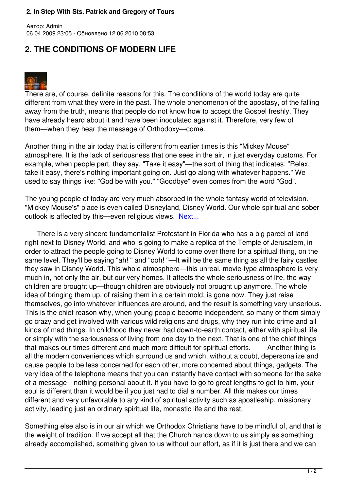## **2. THE CONDITIONS OF MODERN LIFE**



Автор: Admin

There are, of course, definite reasons for this. The conditions of the world today are quite different from what they were in the past. The whole phenomenon of the apostasy, of the falling away from the truth, means that people do not know how to accept the Gospel freshly. They have already heard about it and have been inoculated against it. Therefore, very few of them—when they hear the message of Orthodoxy—come.

Another thing in the air today that is different from earlier times is this "Mickey Mouse" atmosphere. It is the lack of seriousness that one sees in the air, in just everyday customs. For example, when people part, they say, "Take it easy"—the sort of thing that indicates: "Relax, take it easy, there's nothing important going on. Just go along with whatever happens." We used to say things like: "God be with you." "Goodbye" even comes from the word "God".

The young people of today are very much absorbed in the whole fantasy world of television. "Mickey Mouse's" place is even called Disneyland, Disney World. Our whole spiritual and sober outlook is affected by this—even religious views. Next...

 There is a very sincere fundamentalist Protestant in Florida who has a big parcel of land right next to Disney World, and who is going to m[ake a re](index.php?option=com_content&task=view&id=462&Itemid=40)plica of the Temple of Jerusalem, in order to attract the people going to Disney World to come over there for a spiritual thing, on the same level. They'll be saying "ah!" and "ooh! "—It will be the same thing as all the fairy castles they saw in Disney World. This whole atmosphere—this unreal, movie-type atmosphere is very much in, not only the air, but our very homes. It affects the whole seriousness of life, the way children are brought up—though children are obviously not brought up anymore. The whole idea of bringing them up, of raising them in a certain mold, is gone now. They just raise themselves, go into whatever influences are around, and the result is something very unserious. This is the chief reason why, when young people become independent, so many of them simply go crazy and get involved with various wild religions and drugs, why they run into crime and all kinds of mad things. In childhood they never had down-to-earth contact, either with spiritual life or simply with the seriousness of living from one day to the next. That is one of the chief things that makes our times different and much more difficult for spiritual efforts. Another thing is all the modern conveniences which surround us and which, without a doubt, depersonalize and cause people to be less concerned for each other, more concerned about things, gadgets. The very idea of the telephone means that you can instantly have contact with someone for the sake of a message—nothing personal about it. If you have to go to great lengths to get to him, your soul is different than it would be if you just had to dial a number. All this makes our times different and very unfavorable to any kind of spiritual activity such as apostleship, missionary activity, leading just an ordinary spiritual life, monastic life and the rest.

Something else also is in our air which we Orthodox Christians have to be mindful of, and that is the weight of tradition. If we accept all that the Church hands down to us simply as something already accomplished, something given to us without our effort, as if it is just there and we can